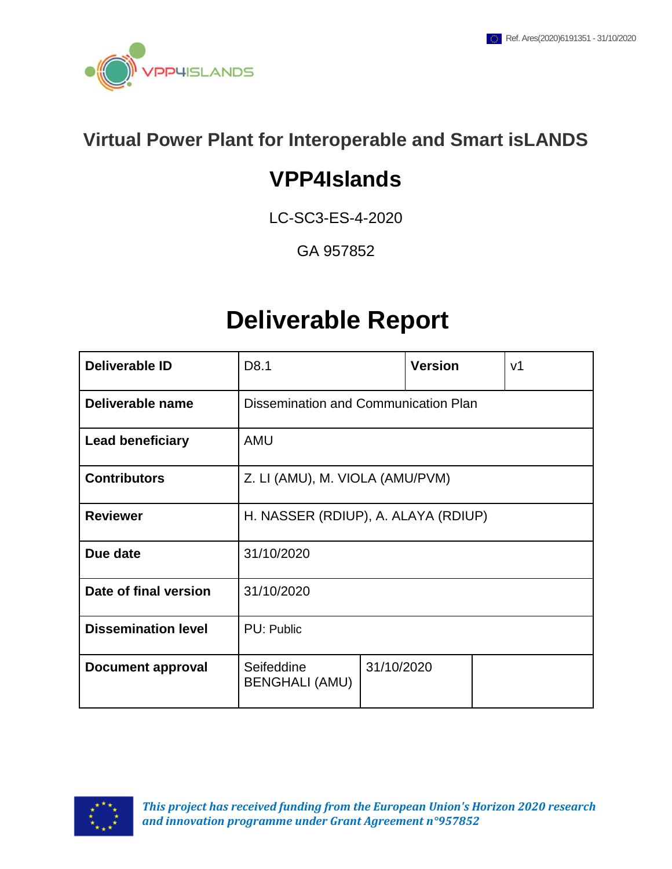

# **Virtual Power Plant for Interoperable and Smart isLANDS**

# **VPP4Islands**

LC-SC3-ES-4-2020

GA 957852

# **Deliverable Report**

| <b>Deliverable ID</b>      | D8.1                                 |            | <b>Version</b> |  | V <sub>1</sub> |
|----------------------------|--------------------------------------|------------|----------------|--|----------------|
| Deliverable name           | Dissemination and Communication Plan |            |                |  |                |
| <b>Lead beneficiary</b>    | <b>AMU</b>                           |            |                |  |                |
| <b>Contributors</b>        | Z. LI (AMU), M. VIOLA (AMU/PVM)      |            |                |  |                |
| <b>Reviewer</b>            | H. NASSER (RDIUP), A. ALAYA (RDIUP)  |            |                |  |                |
| Due date                   | 31/10/2020                           |            |                |  |                |
| Date of final version      | 31/10/2020                           |            |                |  |                |
| <b>Dissemination level</b> | PU: Public                           |            |                |  |                |
| Document approval          | Seifeddine<br><b>BENGHALI (AMU)</b>  | 31/10/2020 |                |  |                |

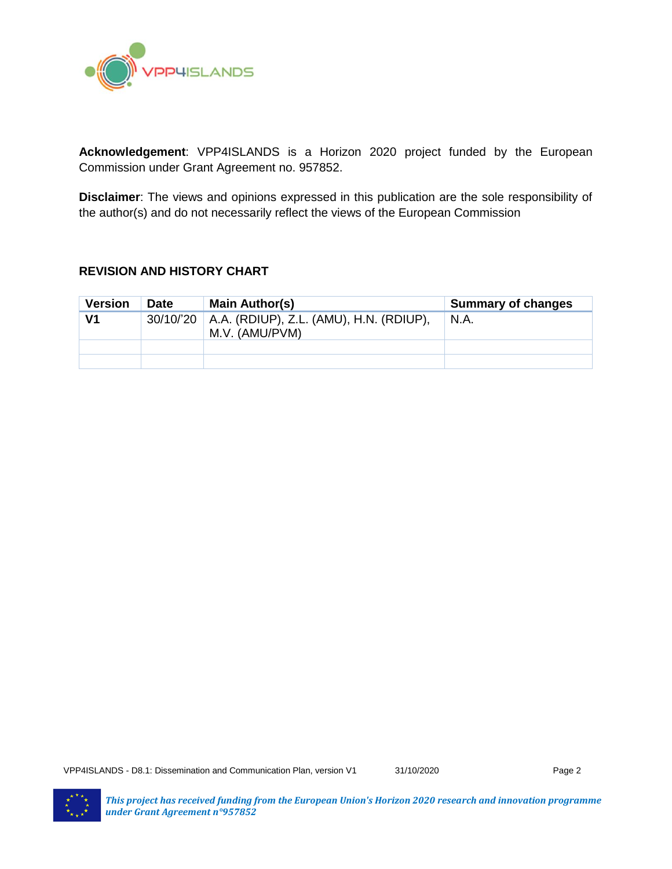

**Acknowledgement**: VPP4ISLANDS is a Horizon 2020 project funded by the European Commission under Grant Agreement no. 957852.

**Disclaimer**: The views and opinions expressed in this publication are the sole responsibility of the author(s) and do not necessarily reflect the views of the European Commission

#### **REVISION AND HISTORY CHART**

| <b>Version</b> | <b>Date</b> | Main Author(s)                                                        | <b>Summary of changes</b> |
|----------------|-------------|-----------------------------------------------------------------------|---------------------------|
| V1             |             | 30/10/'20   A.A. (RDIUP), Z.L. (AMU), H.N. (RDIUP),<br>M.V. (AMU/PVM) | N.A.                      |
|                |             |                                                                       |                           |
|                |             |                                                                       |                           |

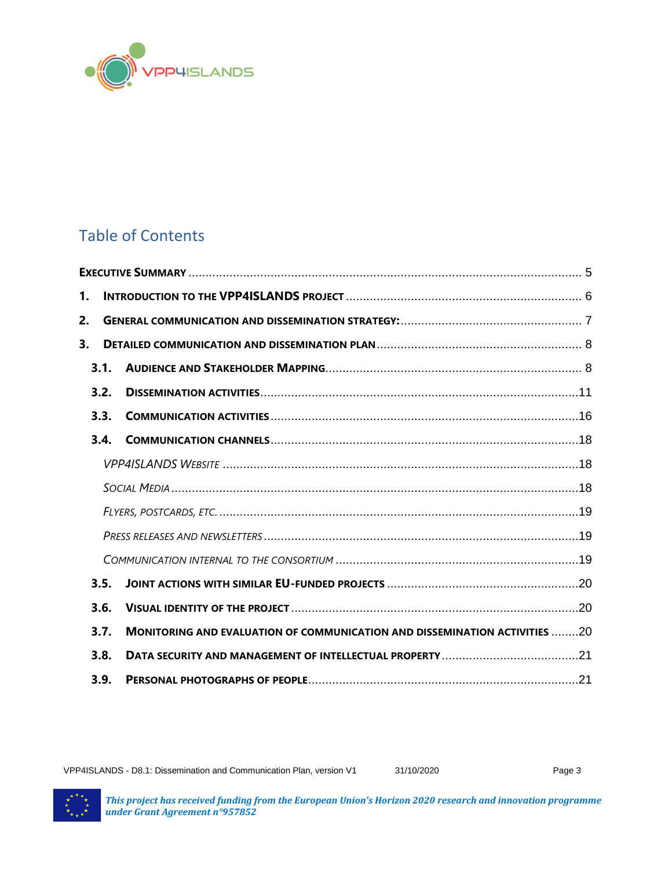

# Table of Contents

| 1. |      |                                                                                   |  |  |  |  |  |
|----|------|-----------------------------------------------------------------------------------|--|--|--|--|--|
| 2. |      |                                                                                   |  |  |  |  |  |
| 3. |      |                                                                                   |  |  |  |  |  |
|    | 3.1. |                                                                                   |  |  |  |  |  |
|    | 3.2. |                                                                                   |  |  |  |  |  |
|    | 3.3. |                                                                                   |  |  |  |  |  |
|    | 3.4. |                                                                                   |  |  |  |  |  |
|    |      |                                                                                   |  |  |  |  |  |
|    |      |                                                                                   |  |  |  |  |  |
|    |      |                                                                                   |  |  |  |  |  |
|    |      |                                                                                   |  |  |  |  |  |
|    |      |                                                                                   |  |  |  |  |  |
|    | 3.5. |                                                                                   |  |  |  |  |  |
|    | 3.6. |                                                                                   |  |  |  |  |  |
|    | 3.7. | <b>MONITORING AND EVALUATION OF COMMUNICATION AND DISSEMINATION ACTIVITIES 20</b> |  |  |  |  |  |
|    | 3.8. |                                                                                   |  |  |  |  |  |
|    | 3.9. |                                                                                   |  |  |  |  |  |

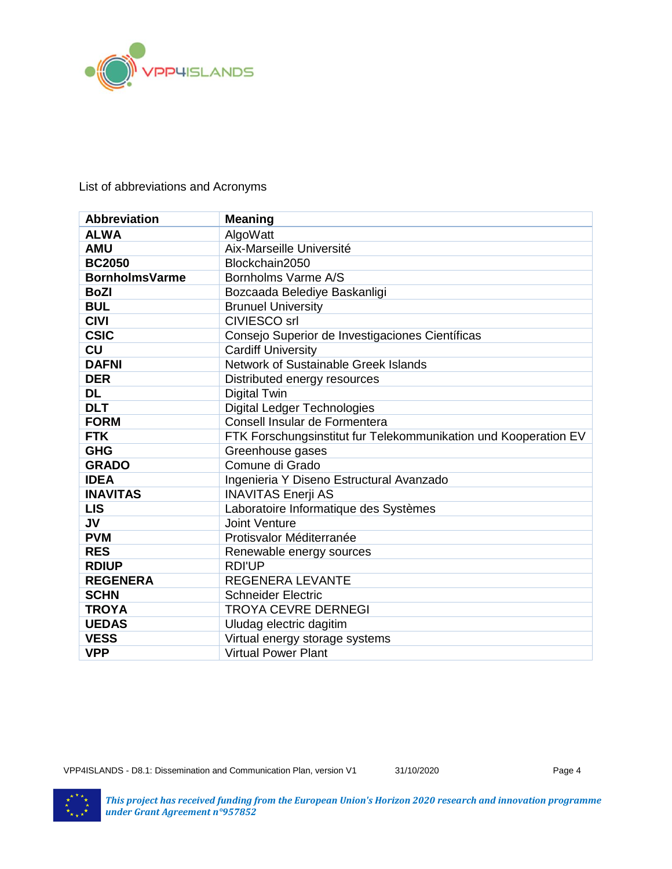

#### List of abbreviations and Acronyms

| <b>Abbreviation</b>   | <b>Meaning</b>                                                  |
|-----------------------|-----------------------------------------------------------------|
| <b>ALWA</b>           | AlgoWatt                                                        |
| <b>AMU</b>            | Aix-Marseille Université                                        |
| <b>BC2050</b>         | Blockchain2050                                                  |
| <b>BornholmsVarme</b> | Bornholms Varme A/S                                             |
| <b>BoZI</b>           | Bozcaada Belediye Baskanligi                                    |
| <b>BUL</b>            | <b>Brunuel University</b>                                       |
| <b>CIVI</b>           | <b>CIVIESCO</b> srl                                             |
| <b>CSIC</b>           | Consejo Superior de Investigaciones Científicas                 |
| <b>CU</b>             | <b>Cardiff University</b>                                       |
| <b>DAFNI</b>          | Network of Sustainable Greek Islands                            |
| <b>DER</b>            | Distributed energy resources                                    |
| <b>DL</b>             | <b>Digital Twin</b>                                             |
| <b>DLT</b>            | <b>Digital Ledger Technologies</b>                              |
| <b>FORM</b>           | Consell Insular de Formentera                                   |
| <b>FTK</b>            | FTK Forschungsinstitut fur Telekommunikation und Kooperation EV |
| <b>GHG</b>            | Greenhouse gases                                                |
| <b>GRADO</b>          | Comune di Grado                                                 |
| <b>IDEA</b>           | Ingenieria Y Diseno Estructural Avanzado                        |
| <b>INAVITAS</b>       | <b>INAVITAS Enerji AS</b>                                       |
| <b>LIS</b>            | Laboratoire Informatique des Systèmes                           |
| <b>JV</b>             | Joint Venture                                                   |
| <b>PVM</b>            | Protisvalor Méditerranée                                        |
| <b>RES</b>            | Renewable energy sources                                        |
| <b>RDIUP</b>          | <b>RDI'UP</b>                                                   |
| <b>REGENERA</b>       | REGENERA LEVANTE                                                |
| <b>SCHN</b>           | <b>Schneider Electric</b>                                       |
| <b>TROYA</b>          | <b>TROYA CEVRE DERNEGI</b>                                      |
| <b>UEDAS</b>          | Uludag electric dagitim                                         |
| <b>VESS</b>           | Virtual energy storage systems                                  |
| <b>VPP</b>            | <b>Virtual Power Plant</b>                                      |

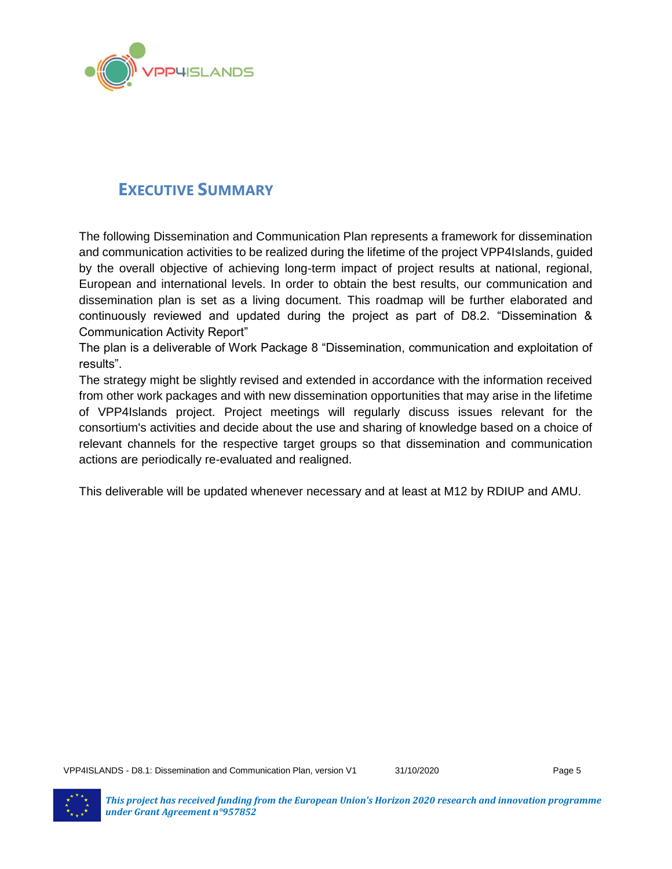

## <span id="page-4-0"></span>**EXECUTIVE SUMMARY**

The following Dissemination and Communication Plan represents a framework for dissemination and communication activities to be realized during the lifetime of the project VPP4Islands, guided by the overall objective of achieving long-term impact of project results at national, regional, European and international levels. In order to obtain the best results, our communication and dissemination plan is set as a living document. This roadmap will be further elaborated and continuously reviewed and updated during the project as part of D8.2. "Dissemination & Communication Activity Report"

The plan is a deliverable of Work Package 8 "Dissemination, communication and exploitation of results".

The strategy might be slightly revised and extended in accordance with the information received from other work packages and with new dissemination opportunities that may arise in the lifetime of VPP4Islands project. Project meetings will regularly discuss issues relevant for the consortium's activities and decide about the use and sharing of knowledge based on a choice of relevant channels for the respective target groups so that dissemination and communication actions are periodically re-evaluated and realigned.

This deliverable will be updated whenever necessary and at least at M12 by RDIUP and AMU.

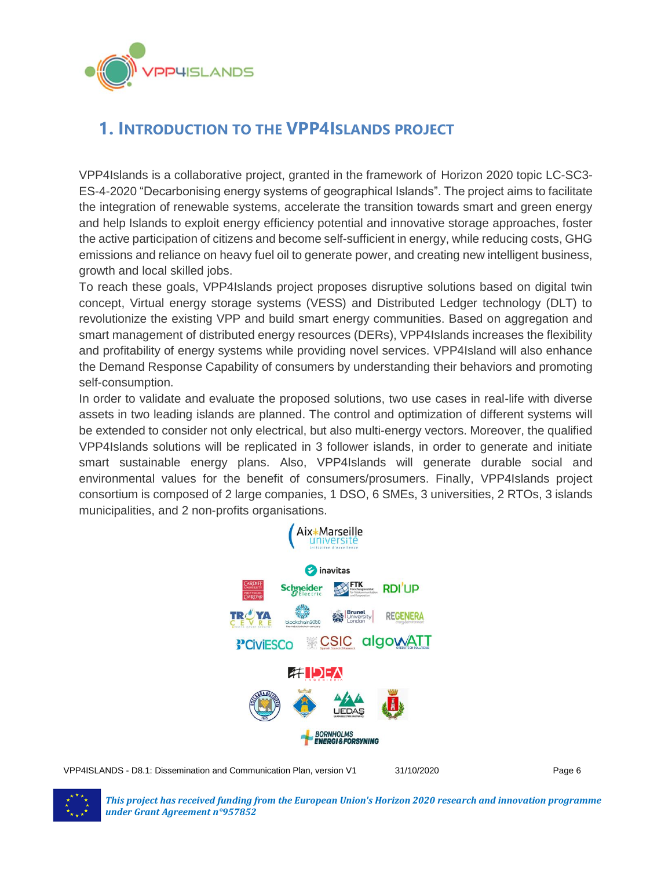

# <span id="page-5-0"></span>**1. INTRODUCTION TO THE VPP4ISLANDS PROJECT**

VPP4Islands is a collaborative project, granted in the framework of Horizon 2020 topic LC-SC3- ES-4-2020 "Decarbonising energy systems of geographical Islands". The project aims to facilitate the integration of renewable systems, accelerate the transition towards smart and green energy and help Islands to exploit energy efficiency potential and innovative storage approaches, foster the active participation of citizens and become self-sufficient in energy, while reducing costs, GHG emissions and reliance on heavy fuel oil to generate power, and creating new intelligent business, growth and local skilled jobs.

To reach these goals, VPP4Islands project proposes disruptive solutions based on digital twin concept, Virtual energy storage systems (VESS) and Distributed Ledger technology (DLT) to revolutionize the existing VPP and build smart energy communities. Based on aggregation and smart management of distributed energy resources (DERs), VPP4Islands increases the flexibility and profitability of energy systems while providing novel services. VPP4Island will also enhance the Demand Response Capability of consumers by understanding their behaviors and promoting self-consumption.

In order to validate and evaluate the proposed solutions, two use cases in real-life with diverse assets in two leading islands are planned. The control and optimization of different systems will be extended to consider not only electrical, but also multi-energy vectors. Moreover, the qualified VPP4Islands solutions will be replicated in 3 follower islands, in order to generate and initiate smart sustainable energy plans. Also, VPP4Islands will generate durable social and environmental values for the benefit of consumers/prosumers. Finally, VPP4Islands project consortium is composed of 2 large companies, 1 DSO, 6 SMEs, 3 universities, 2 RTOs, 3 islands municipalities, and 2 non-profits organisations.



VPP4ISLANDS - D8.1: Dissemination and Communication Plan, version V1 31/10/2020 Page 6



*This project has received funding from the European Union's Horizon 2020 research and innovation programme under Grant Agreement n°957852*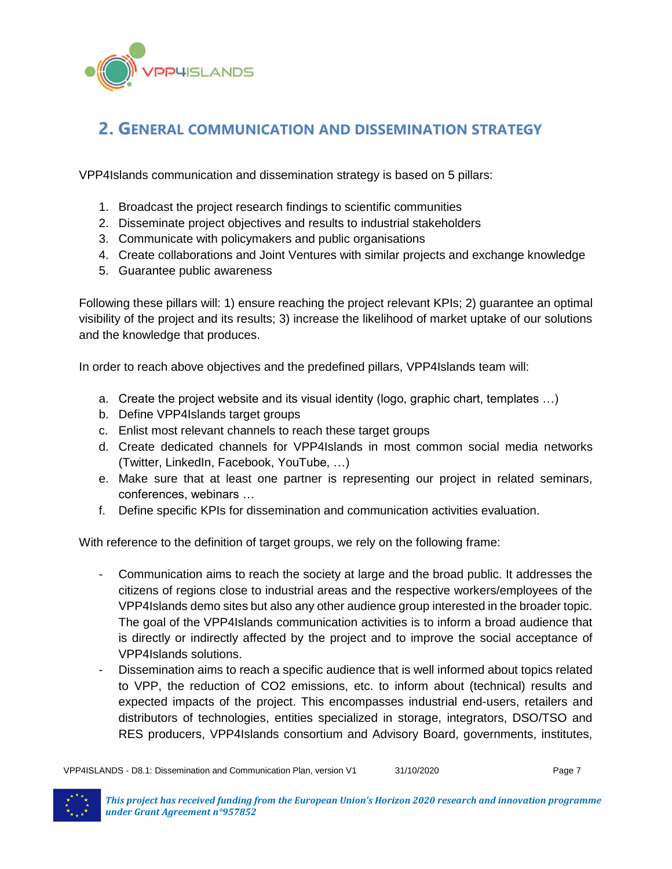

## <span id="page-6-0"></span>**2. GENERAL COMMUNICATION AND DISSEMINATION STRATEGY**

VPP4Islands communication and dissemination strategy is based on 5 pillars:

- 1. Broadcast the project research findings to scientific communities
- 2. Disseminate project objectives and results to industrial stakeholders
- 3. Communicate with policymakers and public organisations
- 4. Create collaborations and Joint Ventures with similar projects and exchange knowledge
- 5. Guarantee public awareness

Following these pillars will: 1) ensure reaching the project relevant KPIs; 2) guarantee an optimal visibility of the project and its results; 3) increase the likelihood of market uptake of our solutions and the knowledge that produces.

In order to reach above objectives and the predefined pillars, VPP4Islands team will:

- a. Create the project website and its visual identity (logo, graphic chart, templates …)
- b. Define VPP4Islands target groups
- c. Enlist most relevant channels to reach these target groups
- d. Create dedicated channels for VPP4Islands in most common social media networks (Twitter, LinkedIn, Facebook, YouTube, …)
- e. Make sure that at least one partner is representing our project in related seminars, conferences, webinars …
- f. Define specific KPIs for dissemination and communication activities evaluation.

With reference to the definition of target groups, we rely on the following frame:

- Communication aims to reach the society at large and the broad public. It addresses the citizens of regions close to industrial areas and the respective workers/employees of the VPP4Islands demo sites but also any other audience group interested in the broader topic. The goal of the VPP4Islands communication activities is to inform a broad audience that is directly or indirectly affected by the project and to improve the social acceptance of VPP4Islands solutions.
- Dissemination aims to reach a specific audience that is well informed about topics related to VPP, the reduction of CO2 emissions, etc. to inform about (technical) results and expected impacts of the project. This encompasses industrial end-users, retailers and distributors of technologies, entities specialized in storage, integrators, DSO/TSO and RES producers, VPP4Islands consortium and Advisory Board, governments, institutes,

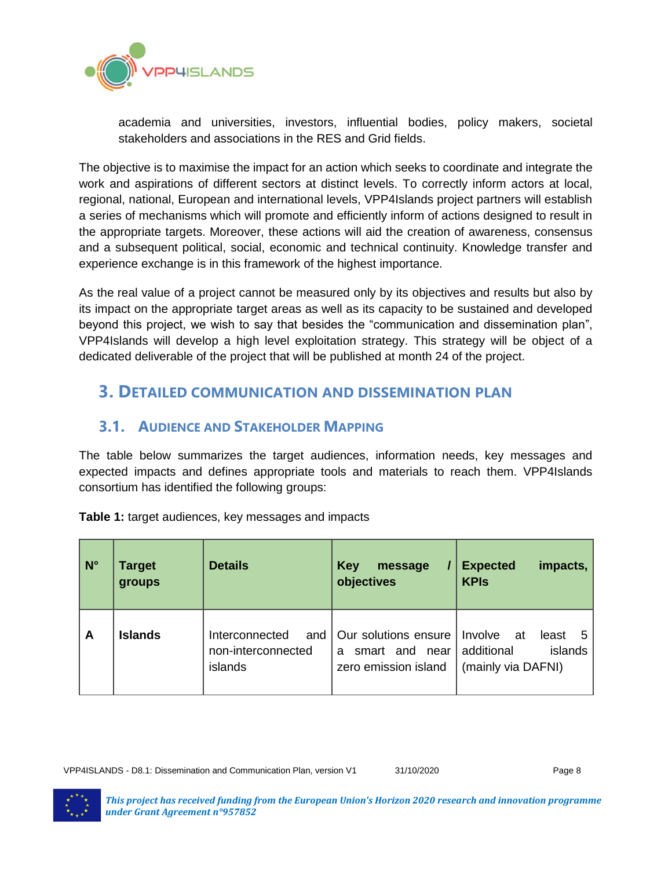

academia and universities, investors, influential bodies, policy makers, societal stakeholders and associations in the RES and Grid fields.

The objective is to maximise the impact for an action which seeks to coordinate and integrate the work and aspirations of different sectors at distinct levels. To correctly inform actors at local, regional, national, European and international levels, VPP4Islands project partners will establish a series of mechanisms which will promote and efficiently inform of actions designed to result in the appropriate targets. Moreover, these actions will aid the creation of awareness, consensus and a subsequent political, social, economic and technical continuity. Knowledge transfer and experience exchange is in this framework of the highest importance.

As the real value of a project cannot be measured only by its objectives and results but also by its impact on the appropriate target areas as well as its capacity to be sustained and developed beyond this project, we wish to say that besides the "communication and dissemination plan", VPP4Islands will develop a high level exploitation strategy. This strategy will be object of a dedicated deliverable of the project that will be published at month 24 of the project.

## <span id="page-7-0"></span>**3. DETAILED COMMUNICATION AND DISSEMINATION PLAN**

## <span id="page-7-1"></span>**3.1. AUDIENCE AND STAKEHOLDER MAPPING**

The table below summarizes the target audiences, information needs, key messages and expected impacts and defines appropriate tools and materials to reach them. VPP4Islands consortium has identified the following groups:

| $N^{\circ}$ | <b>Target</b><br>groups | <b>Details</b>                                         | <b>Key</b><br>message<br>objectives                                 | <b>Expected</b><br>impacts,<br><b>KPIs</b>                                        |
|-------------|-------------------------|--------------------------------------------------------|---------------------------------------------------------------------|-----------------------------------------------------------------------------------|
| A           | <b>Islands</b>          | Interconnected<br>and<br>non-interconnected<br>islands | Our solutions ensure<br>smart and near<br>a<br>zero emission island | <b>Involve</b><br>at<br>least<br>5<br>islands<br>additional<br>(mainly via DAFNI) |

**Table 1:** target audiences, key messages and impacts

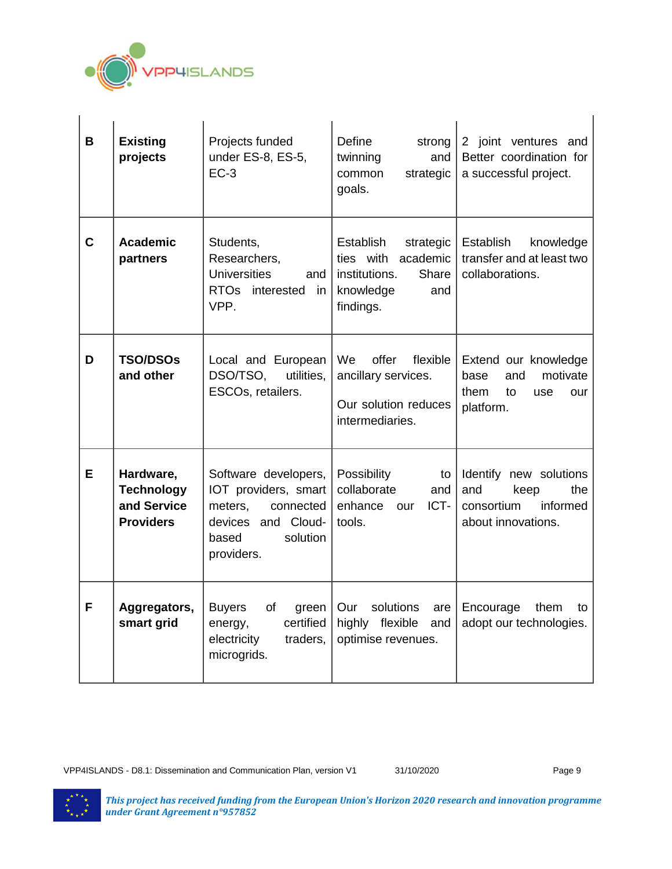

| B | <b>Existing</b><br>projects                                       | Projects funded<br>under ES-8, ES-5,<br>$EC-3$                                                                                | Define<br>strong<br>twinning<br>and<br>common<br>strategic<br>goals.                                       | 2 joint ventures and<br>Better coordination for<br>a successful project.                     |
|---|-------------------------------------------------------------------|-------------------------------------------------------------------------------------------------------------------------------|------------------------------------------------------------------------------------------------------------|----------------------------------------------------------------------------------------------|
| C | <b>Academic</b><br>partners                                       | Students,<br>Researchers,<br><b>Universities</b><br>and<br>RTOs interested<br>in<br>VPP.                                      | Establish<br>strategic<br>ties with<br>academic<br>institutions.<br>Share<br>knowledge<br>and<br>findings. | <b>Establish</b><br>knowledge<br>transfer and at least two<br>collaborations.                |
| D | <b>TSO/DSOs</b><br>and other                                      | Local and European<br>DSO/TSO,<br>utilities.<br>ESCOs, retailers.                                                             | offer<br>flexible<br>We<br>ancillary services.<br>Our solution reduces<br>intermediaries.                  | Extend our knowledge<br>motivate<br>base<br>and<br>them<br>to<br>use<br>our<br>platform.     |
| Е | Hardware,<br><b>Technology</b><br>and Service<br><b>Providers</b> | Software developers,<br>IOT providers, smart<br>meters.<br>connected<br>devices and Cloud-<br>solution<br>based<br>providers. | Possibility<br>to<br>collaborate<br>and<br>ICT-<br>enhance our<br>tools.                                   | Identify new solutions<br>the<br>and<br>keep<br>consortium<br>informed<br>about innovations. |
| F | Aggregators,<br>smart grid                                        | <b>Buyers</b><br>0f<br>green<br>certified<br>energy,<br>electricity<br>traders,<br>microgrids.                                | Our<br>solutions<br>are<br>highly flexible<br>and<br>optimise revenues.                                    | Encourage<br>them<br>to<br>adopt our technologies.                                           |

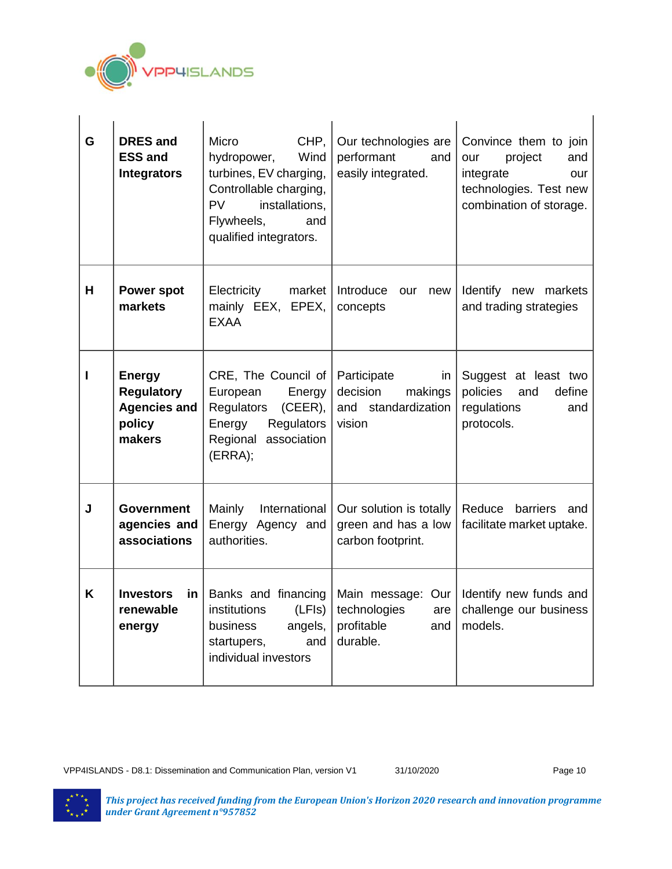

| G | <b>DRES and</b><br><b>ESS and</b><br><b>Integrators</b>                       | Micro<br>CHP,<br>Wind<br>hydropower,<br>turbines, EV charging,<br>Controllable charging,<br><b>PV</b><br>installations,<br>Flywheels,<br>and<br>qualified integrators. | Our technologies are<br>performant<br>and<br>easily integrated.             | Convince them to join<br>project<br>and<br>our<br>integrate<br>our<br>technologies. Test new<br>combination of storage. |
|---|-------------------------------------------------------------------------------|------------------------------------------------------------------------------------------------------------------------------------------------------------------------|-----------------------------------------------------------------------------|-------------------------------------------------------------------------------------------------------------------------|
| H | <b>Power spot</b><br>markets                                                  | market<br>Electricity<br>mainly EEX, EPEX,<br><b>EXAA</b>                                                                                                              | Introduce<br>our<br>new<br>concepts                                         | Identify new markets<br>and trading strategies                                                                          |
| I | <b>Energy</b><br><b>Regulatory</b><br><b>Agencies and</b><br>policy<br>makers | CRE, The Council of $ $<br>European<br>Energy<br>Regulators<br>$(CEER)$ ,<br>Energy<br>Regulators<br>Regional association<br>(ERRA);                                   | Participate<br>in<br>decision<br>makings<br>and standardization<br>vision   | Suggest at least two<br>policies<br>define<br>and<br>regulations<br>and<br>protocols.                                   |
| J | <b>Government</b><br>agencies and<br>associations                             | Mainly<br>International<br>Energy Agency and<br>authorities.                                                                                                           | Our solution is totally<br>green and has a low<br>carbon footprint.         | Reduce<br>barriers<br>and<br>facilitate market uptake.                                                                  |
| K | <b>Investors</b><br>$\mathsf{in}$<br>renewable<br>energy                      | <b>Banks and financing</b><br>(LFIs)<br>institutions<br>business<br>angels,<br>and<br>startupers,<br>individual investors                                              | Main message: Our  <br>technologies<br>are<br>profitable<br>and<br>durable. | Identify new funds and<br>challenge our business<br>models.                                                             |

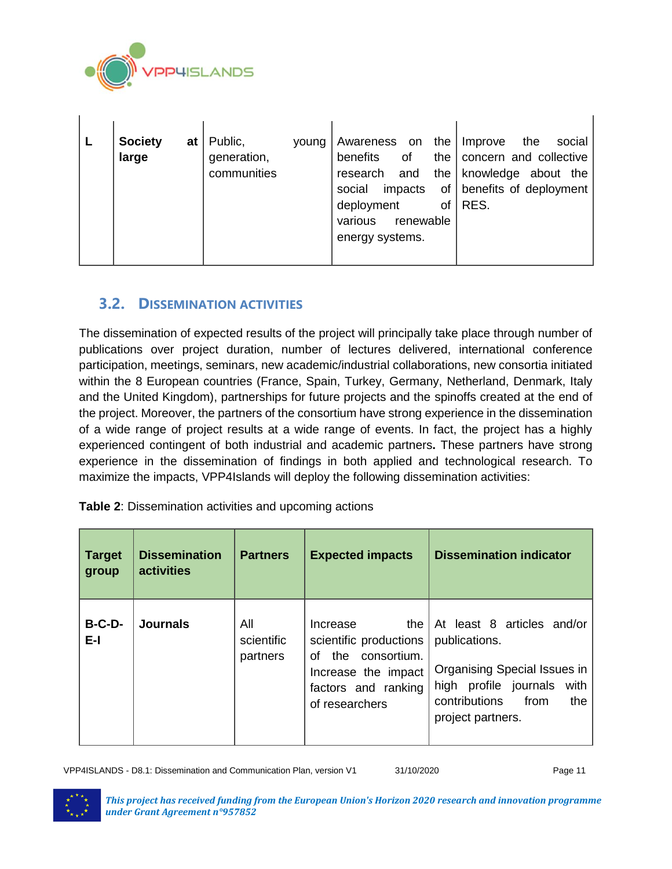

| of<br>generation,<br>benefits<br>large<br>the $\vert$<br>communities<br>and<br>the $\vert$<br>research<br>social<br>impacts<br>RES.<br>deployment<br>οf<br>various<br>renewable<br>energy systems. |  | <b>Society</b><br>at | Public,<br>young | the<br>Awareness on | the<br>social<br>Improve<br>concern and collective<br>knowledge about the<br>of benefits of deployment |
|----------------------------------------------------------------------------------------------------------------------------------------------------------------------------------------------------|--|----------------------|------------------|---------------------|--------------------------------------------------------------------------------------------------------|
|----------------------------------------------------------------------------------------------------------------------------------------------------------------------------------------------------|--|----------------------|------------------|---------------------|--------------------------------------------------------------------------------------------------------|

### <span id="page-10-0"></span>**3.2. DISSEMINATION ACTIVITIES**

The dissemination of expected results of the project will principally take place through number of publications over project duration, number of lectures delivered, international conference participation, meetings, seminars, new academic/industrial collaborations, new consortia initiated within the 8 European countries (France, Spain, Turkey, Germany, Netherland, Denmark, Italy and the United Kingdom), partnerships for future projects and the spinoffs created at the end of the project. Moreover, the partners of the consortium have strong experience in the dissemination of a wide range of project results at a wide range of events. In fact, the project has a highly experienced contingent of both industrial and academic partners**.** These partners have strong experience in the dissemination of findings in both applied and technological research. To maximize the impacts, VPP4Islands will deploy the following dissemination activities:

| <b>Table 2: Dissemination activities and upcoming actions</b> |  |
|---------------------------------------------------------------|--|
|---------------------------------------------------------------|--|

| <b>Target</b><br>group | <b>Dissemination</b><br>activities | <b>Partners</b>               | <b>Expected impacts</b>                                                                                                            | <b>Dissemination indicator</b>                                                                                                                                    |
|------------------------|------------------------------------|-------------------------------|------------------------------------------------------------------------------------------------------------------------------------|-------------------------------------------------------------------------------------------------------------------------------------------------------------------|
| $B-C-D-$<br>$E-I$      | <b>Journals</b>                    | All<br>scientific<br>partners | the<br>Increase<br>scientific productions<br>the consortium.<br>Ωf<br>Increase the impact<br>factors and ranking<br>of researchers | At least 8 articles and/or<br>publications.<br>Organising Special Issues in<br>high profile journals<br>with<br>contributions<br>from<br>the<br>project partners. |

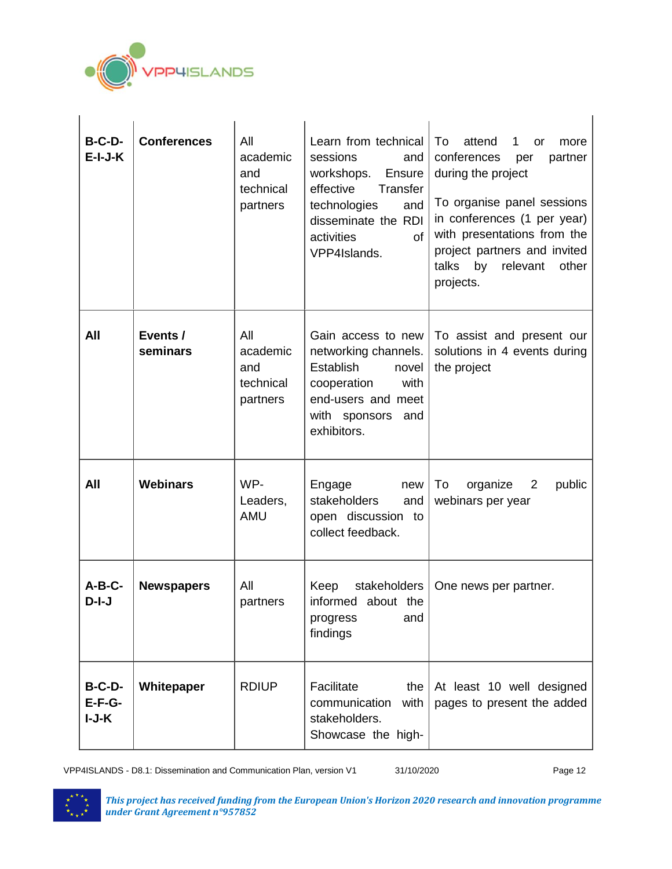

| $B-C-D-$<br>$E-I-J-K$           | <b>Conferences</b>   | All<br>academic<br>and<br>technical<br>partners | Learn from technical<br>sessions<br>and<br>workshops.<br>Ensure<br>Transfer<br>effective<br>technologies<br>and<br>disseminate the RDI<br>activities<br>of<br>VPP4Islands. | To<br>attend<br>more<br>1<br><b>or</b><br>conferences<br>partner<br>per<br>during the project<br>To organise panel sessions<br>in conferences (1 per year)<br>with presentations from the<br>project partners and invited<br>talks<br>by<br>relevant<br>other<br>projects. |
|---------------------------------|----------------------|-------------------------------------------------|----------------------------------------------------------------------------------------------------------------------------------------------------------------------------|----------------------------------------------------------------------------------------------------------------------------------------------------------------------------------------------------------------------------------------------------------------------------|
| All                             | Events /<br>seminars | All<br>academic<br>and<br>technical<br>partners | Gain access to new<br>networking channels.<br><b>Establish</b><br>novel<br>with<br>cooperation<br>end-users and meet<br>with sponsors and<br>exhibitors.                   | To assist and present our<br>solutions in 4 events during<br>the project                                                                                                                                                                                                   |
| All                             | <b>Webinars</b>      | WP-<br>Leaders,<br><b>AMU</b>                   | Engage<br>new<br>stakeholders<br>and<br>open discussion to<br>collect feedback.                                                                                            | To<br>organize 2<br>public<br>webinars per year                                                                                                                                                                                                                            |
| $A-B-C-$<br>$D-I-J$             | <b>Newspapers</b>    | All<br>partners                                 | Keep<br>stakeholders<br>informed about the<br>progress<br>and<br>findings                                                                                                  | One news per partner.                                                                                                                                                                                                                                                      |
| $B-C-D-$<br>$E-F-G-$<br>$I-J-K$ | Whitepaper           | <b>RDIUP</b>                                    | Facilitate<br>the<br>communication<br>with<br>stakeholders.<br>Showcase the high-                                                                                          | At least 10 well designed<br>pages to present the added                                                                                                                                                                                                                    |

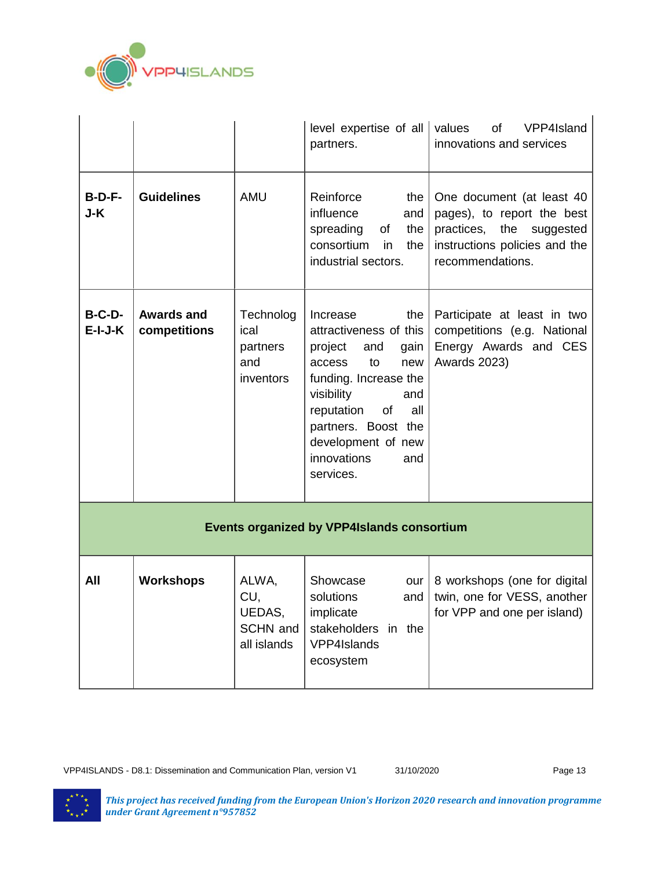

|                       |                                                   |                                                   | level expertise of all $\vert$ values<br>partners.                                                                                                                                                                                                  | of<br>VPP4Island<br>innovations and services                                                                                             |  |  |
|-----------------------|---------------------------------------------------|---------------------------------------------------|-----------------------------------------------------------------------------------------------------------------------------------------------------------------------------------------------------------------------------------------------------|------------------------------------------------------------------------------------------------------------------------------------------|--|--|
| $B-D-F-$<br>J-K       | <b>Guidelines</b>                                 | <b>AMU</b>                                        | Reinforce<br>the $ $<br>influence<br>and<br>spreading<br>of<br>the<br>consortium<br>in<br>the<br>industrial sectors.                                                                                                                                | One document (at least 40<br>pages), to report the best<br>practices, the suggested<br>instructions policies and the<br>recommendations. |  |  |
| $B-C-D-$<br>$E-I-J-K$ | <b>Awards and</b><br>competitions                 | Technolog<br>ical<br>partners<br>and<br>inventors | Increase<br>the<br>attractiveness of this<br>project<br>and<br>gain<br>to<br>new<br>access<br>funding. Increase the<br>visibility<br>and<br>reputation<br>of<br>all<br>partners. Boost the<br>development of new<br>innovations<br>and<br>services. | Participate at least in two<br>competitions (e.g. National<br>Energy Awards and CES<br>Awards 2023)                                      |  |  |
|                       | <b>Events organized by VPP4Islands consortium</b> |                                                   |                                                                                                                                                                                                                                                     |                                                                                                                                          |  |  |
| All                   | <b>Workshops</b>                                  | ALWA,<br>CU,<br>UEDAS,<br>SCHN and<br>all islands | Showcase<br>our<br>solutions<br>and<br>implicate<br>stakeholders in the<br>VPP4Islands<br>ecosystem                                                                                                                                                 | 8 workshops (one for digital<br>twin, one for VESS, another<br>for VPP and one per island)                                               |  |  |

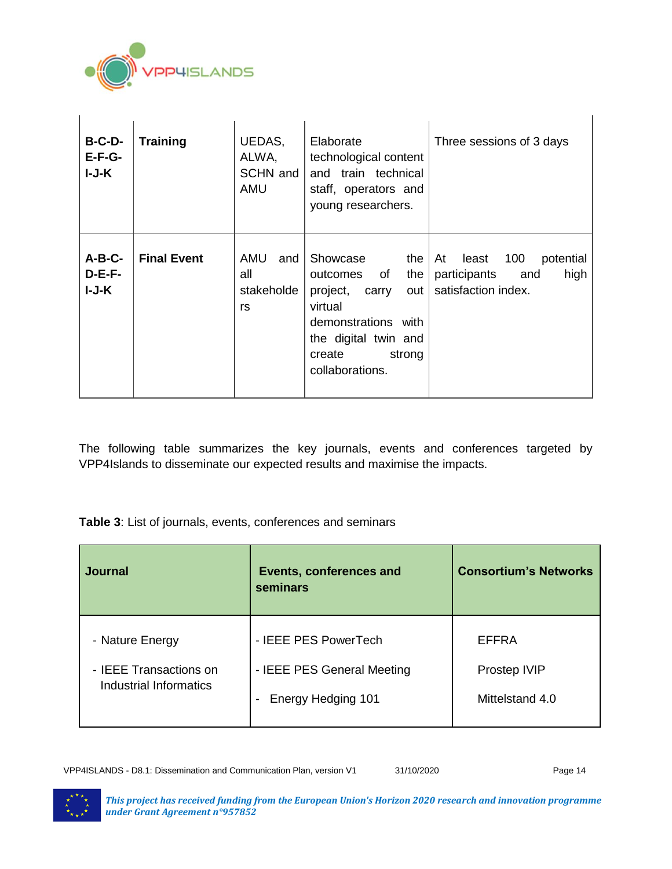

| $B-C-D-$<br>$E-F-G-$<br>$I-J-K$ | <b>Training</b>    | UEDAS,<br>ALWA,<br>SCHN and<br>AMU      | Elaborate<br>technological content<br>and train technical<br>staff, operators and<br>young researchers.                                                                | Three sessions of 3 days                                                              |
|---------------------------------|--------------------|-----------------------------------------|------------------------------------------------------------------------------------------------------------------------------------------------------------------------|---------------------------------------------------------------------------------------|
| $A-B-C-$<br>$D-E-F-$<br>I-J-K   | <b>Final Event</b> | AMU<br>and l<br>all<br>stakeholde<br>rs | Showcase<br>the I<br>outcomes of<br>the<br>project,<br>carry<br>out  <br>virtual<br>demonstrations with<br>the digital twin and<br>strong<br>create<br>collaborations. | potential<br>At<br>least<br>100<br>participants<br>high<br>and<br>satisfaction index. |

The following table summarizes the key journals, events and conferences targeted by VPP4Islands to disseminate our expected results and maximise the impacts.

**Table 3**: List of journals, events, conferences and seminars

| <b>Journal</b>                                                      | Events, conferences and<br>seminars                                                                  | <b>Consortium's Networks</b>             |
|---------------------------------------------------------------------|------------------------------------------------------------------------------------------------------|------------------------------------------|
| - Nature Energy<br>- IEEE Transactions on<br>Industrial Informatics | - IEEE PES PowerTech<br>- IEEE PES General Meeting<br>Energy Hedging 101<br>$\overline{\phantom{a}}$ | EFFRA<br>Prostep IVIP<br>Mittelstand 4.0 |

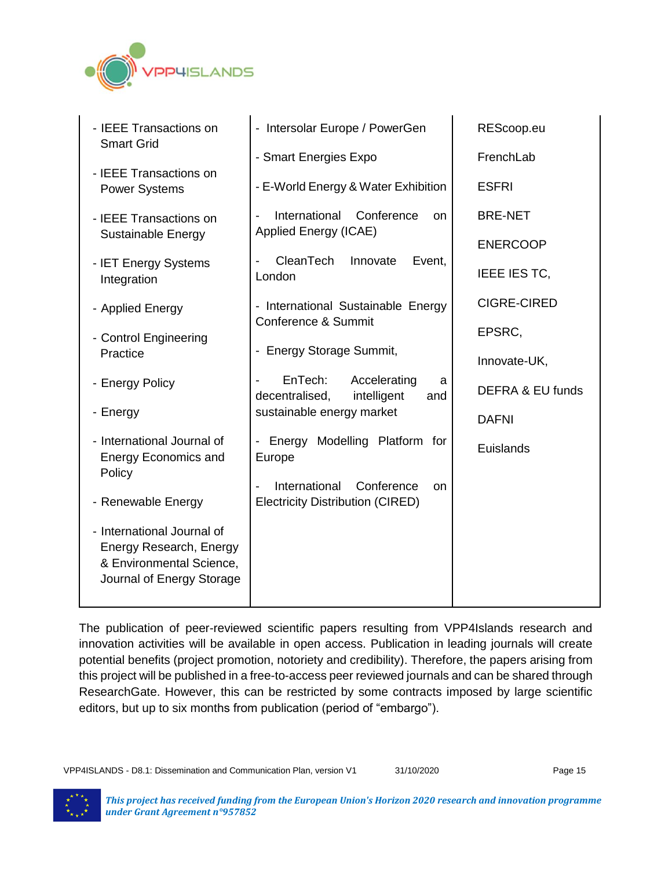

| - IEEE Transactions on<br><b>Smart Grid</b>                                                                    | - Intersolar Europe / PowerGen                                       | REScoop.eu                  |
|----------------------------------------------------------------------------------------------------------------|----------------------------------------------------------------------|-----------------------------|
|                                                                                                                | - Smart Energies Expo                                                | FrenchLab                   |
| - IEEE Transactions on<br><b>Power Systems</b>                                                                 | - E-World Energy & Water Exhibition                                  | <b>ESFRI</b>                |
| - IEEE Transactions on<br>Sustainable Energy                                                                   | International<br>Conference<br><b>on</b><br>Applied Energy (ICAE)    | <b>BRE-NET</b>              |
|                                                                                                                |                                                                      | <b>ENERCOOP</b>             |
| - IET Energy Systems<br>Integration                                                                            | CleanTech<br>Innovate<br>Event,<br>London                            | IEEE IES TC,                |
| - Applied Energy                                                                                               | - International Sustainable Energy                                   | <b>CIGRE-CIRED</b>          |
| - Control Engineering                                                                                          | Conference & Summit                                                  | EPSRC,                      |
| Practice                                                                                                       | - Energy Storage Summit,                                             | Innovate-UK,                |
| - Energy Policy                                                                                                | EnTech:<br>Accelerating<br>a<br>decentralised,<br>intelligent<br>and | <b>DEFRA &amp; EU funds</b> |
| - Energy                                                                                                       | sustainable energy market                                            | <b>DAFNI</b>                |
| - International Journal of<br><b>Energy Economics and</b>                                                      | - Energy Modelling Platform for<br>Europe                            | Euislands                   |
| Policy                                                                                                         | International<br>Conference<br><b>on</b>                             |                             |
| - Renewable Energy                                                                                             | <b>Electricity Distribution (CIRED)</b>                              |                             |
| - International Journal of<br>Energy Research, Energy<br>& Environmental Science,<br>Journal of Energy Storage |                                                                      |                             |

The publication of peer-reviewed scientific papers resulting from VPP4Islands research and innovation activities will be available in open access. Publication in leading journals will create potential benefits (project promotion, notoriety and credibility). Therefore, the papers arising from this project will be published in a free-to-access peer reviewed journals and can be shared through ResearchGate. However, this can be restricted by some contracts imposed by large scientific editors, but up to six months from publication (period of "embargo").

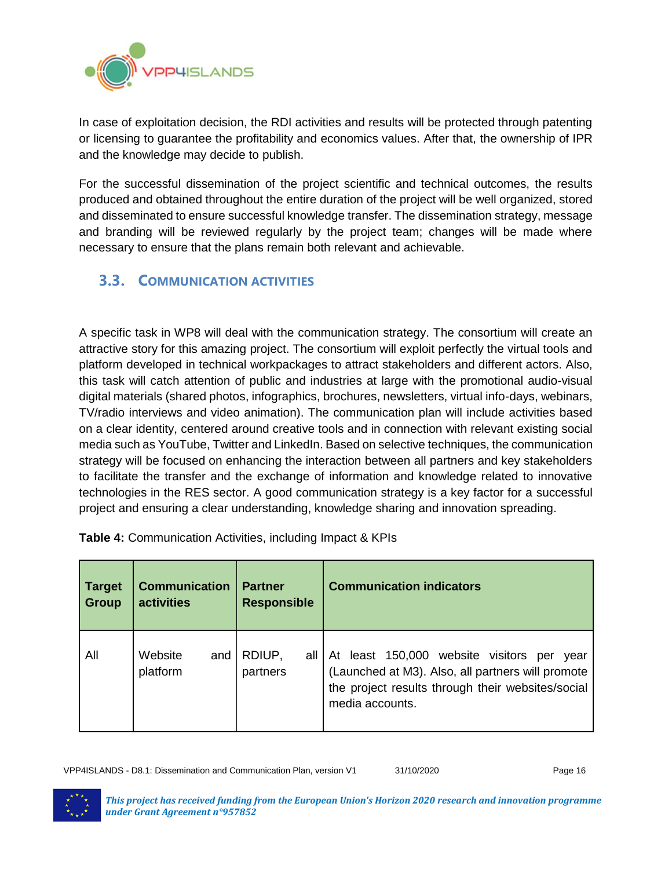

In case of exploitation decision, the RDI activities and results will be protected through patenting or licensing to guarantee the profitability and economics values. After that, the ownership of IPR and the knowledge may decide to publish.

For the successful dissemination of the project scientific and technical outcomes, the results produced and obtained throughout the entire duration of the project will be well organized, stored and disseminated to ensure successful knowledge transfer. The dissemination strategy, message and branding will be reviewed regularly by the project team; changes will be made where necessary to ensure that the plans remain both relevant and achievable.

## <span id="page-15-0"></span>**3.3. COMMUNICATION ACTIVITIES**

A specific task in WP8 will deal with the communication strategy. The consortium will create an attractive story for this amazing project. The consortium will exploit perfectly the virtual tools and platform developed in technical workpackages to attract stakeholders and different actors. Also, this task will catch attention of public and industries at large with the promotional audio-visual digital materials (shared photos, infographics, brochures, newsletters, virtual info-days, webinars, TV/radio interviews and video animation). The communication plan will include activities based on a clear identity, centered around creative tools and in connection with relevant existing social media such as YouTube, Twitter and LinkedIn. Based on selective techniques, the communication strategy will be focused on enhancing the interaction between all partners and key stakeholders to facilitate the transfer and the exchange of information and knowledge related to innovative technologies in the RES sector. A good communication strategy is a key factor for a successful project and ensuring a clear understanding, knowledge sharing and innovation spreading.

| <b>Target</b> | <b>Communication</b>       | <b>Partner</b>     | <b>Communication indicators</b>                                                                                                                                                      |
|---------------|----------------------------|--------------------|--------------------------------------------------------------------------------------------------------------------------------------------------------------------------------------|
| <b>Group</b>  | activities                 | <b>Responsible</b> |                                                                                                                                                                                      |
| All           | Website<br>and<br>platform | RDIUP,<br>partners | all At least 150,000<br>website visitors<br>per<br>year<br>(Launched at M3). Also, all partners will promote<br>the project results through their websites/social<br>media accounts. |

**Table 4:** Communication Activities, including Impact & KPIs

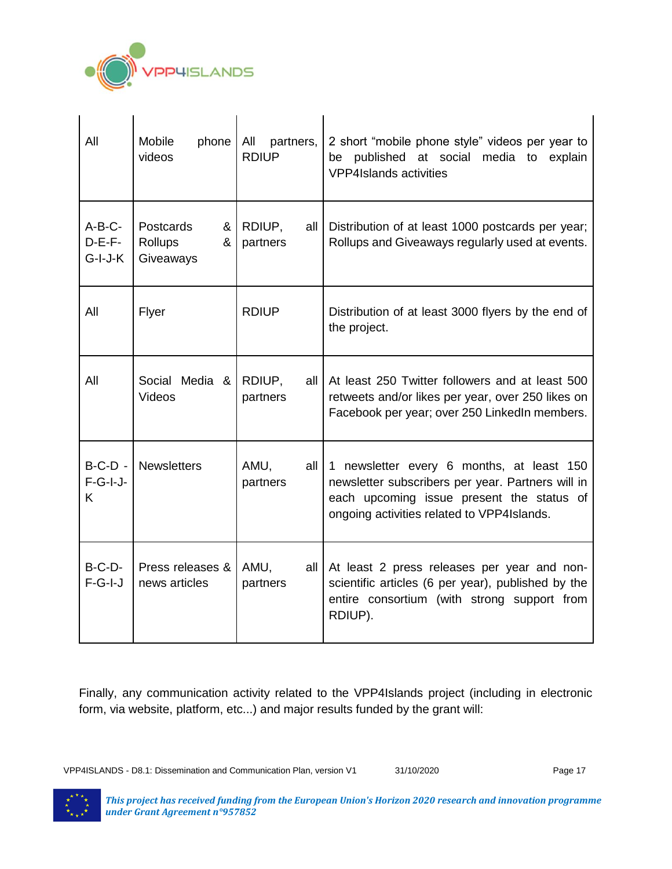

 $\mathbf{I}$ 

| All                               | Mobile<br>phone<br>videos                   | All<br>partners,<br><b>RDIUP</b> | 2 short "mobile phone style" videos per year to<br>be published at social media to explain<br><b>VPP4Islands activities</b>                                                               |
|-----------------------------------|---------------------------------------------|----------------------------------|-------------------------------------------------------------------------------------------------------------------------------------------------------------------------------------------|
| $A-B-C-$<br>$D-E-F-$<br>$G-I-J-K$ | Postcards<br>&<br>&<br>Rollups<br>Giveaways | RDIUP,<br>all<br>partners        | Distribution of at least 1000 postcards per year;<br>Rollups and Giveaways regularly used at events.                                                                                      |
| All                               | Flyer                                       | <b>RDIUP</b>                     | Distribution of at least 3000 flyers by the end of<br>the project.                                                                                                                        |
| All                               | Social Media &<br>Videos                    | RDIUP,<br>all<br>partners        | At least 250 Twitter followers and at least 500<br>retweets and/or likes per year, over 250 likes on<br>Facebook per year; over 250 LinkedIn members.                                     |
| $B-C-D$ -<br>$F-G-I-J-$<br>K      | <b>Newsletters</b>                          | AMU,<br>all<br>partners          | 1 newsletter every 6 months, at least 150<br>newsletter subscribers per year. Partners will in<br>each upcoming issue present the status of<br>ongoing activities related to VPP4Islands. |
| $B-C-D-$<br>$F-G-I-J$             | Press releases &<br>news articles           | AMU,<br>all<br>partners          | At least 2 press releases per year and non-<br>scientific articles (6 per year), published by the<br>entire consortium (with strong support from<br>RDIUP).                               |

Finally, any communication activity related to the VPP4Islands project (including in electronic form, via website, platform, etc...) and major results funded by the grant will:

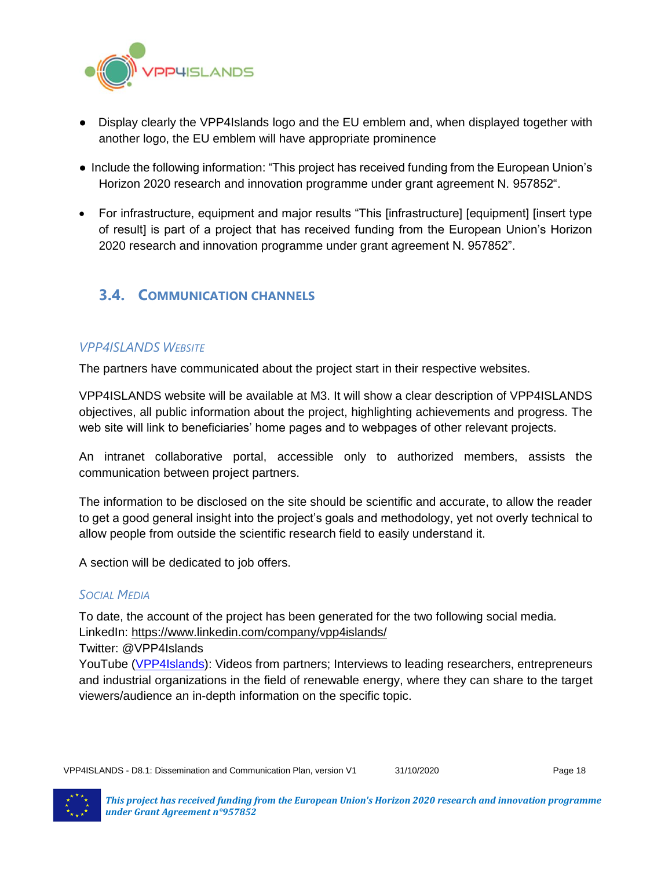

- Display clearly the VPP4Islands logo and the EU emblem and, when displayed together with another logo, the EU emblem will have appropriate prominence
- Include the following information: "This project has received funding from the European Union's Horizon 2020 research and innovation programme under grant agreement N. 957852".
- For infrastructure, equipment and major results "This [infrastructure] [equipment] [insert type of result] is part of a project that has received funding from the European Union's Horizon 2020 research and innovation programme under grant agreement N. 957852".

## <span id="page-17-0"></span>**3.4. COMMUNICATION CHANNELS**

#### <span id="page-17-1"></span>*VPP4ISLANDS WEBSITE*

The partners have communicated about the project start in their respective websites.

VPP4ISLANDS website will be available at M3. It will show a clear description of VPP4ISLANDS objectives, all public information about the project, highlighting achievements and progress. The web site will link to beneficiaries' home pages and to webpages of other relevant projects.

An intranet collaborative portal, accessible only to authorized members, assists the communication between project partners.

The information to be disclosed on the site should be scientific and accurate, to allow the reader to get a good general insight into the project's goals and methodology, yet not overly technical to allow people from outside the scientific research field to easily understand it.

A section will be dedicated to job offers.

#### <span id="page-17-2"></span>*SOCIAL MEDIA*

To date, the account of the project has been generated for the two following social media. LinkedIn: https://www.linkedin.com/company/vpp4islands/

Twitter: @VPP4Islands

YouTube [\(VPP4Islands\)](https://www.youtube.com/channel/UC6R59Vkxwt5_A0eCxPDu6Aw?view_as=subscriber): Videos from partners; Interviews to leading researchers, entrepreneurs and industrial organizations in the field of renewable energy, where they can share to the target viewers/audience an in-depth information on the specific topic.

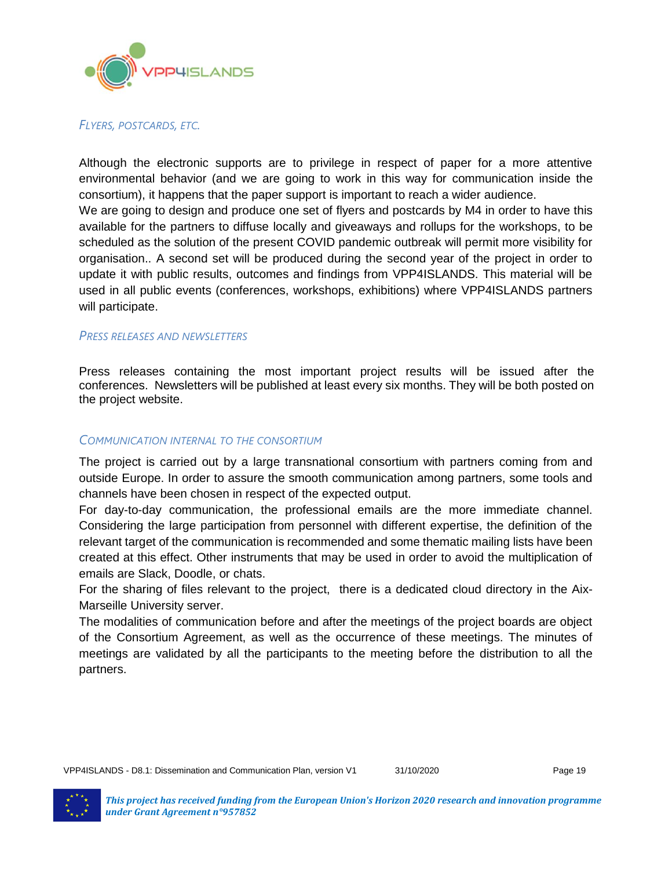

#### <span id="page-18-0"></span>*FLYERS, POSTCARDS, ETC.*

Although the electronic supports are to privilege in respect of paper for a more attentive environmental behavior (and we are going to work in this way for communication inside the consortium), it happens that the paper support is important to reach a wider audience.

We are going to design and produce one set of flyers and postcards by M4 in order to have this available for the partners to diffuse locally and giveaways and rollups for the workshops, to be scheduled as the solution of the present COVID pandemic outbreak will permit more visibility for organisation.. A second set will be produced during the second year of the project in order to update it with public results, outcomes and findings from VPP4ISLANDS. This material will be used in all public events (conferences, workshops, exhibitions) where VPP4ISLANDS partners will participate.

#### <span id="page-18-1"></span>*PRESS RELEASES AND NEWSLETTERS*

Press releases containing the most important project results will be issued after the conferences. Newsletters will be published at least every six months. They will be both posted on the project website.

#### <span id="page-18-2"></span>*COMMUNICATION INTERNAL TO THE CONSORTIUM*

The project is carried out by a large transnational consortium with partners coming from and outside Europe. In order to assure the smooth communication among partners, some tools and channels have been chosen in respect of the expected output.

For day-to-day communication, the professional emails are the more immediate channel. Considering the large participation from personnel with different expertise, the definition of the relevant target of the communication is recommended and some thematic mailing lists have been created at this effect. Other instruments that may be used in order to avoid the multiplication of emails are Slack, Doodle, or chats.

For the sharing of files relevant to the project, there is a dedicated cloud directory in the Aix-Marseille University server.

The modalities of communication before and after the meetings of the project boards are object of the Consortium Agreement, as well as the occurrence of these meetings. The minutes of meetings are validated by all the participants to the meeting before the distribution to all the partners.

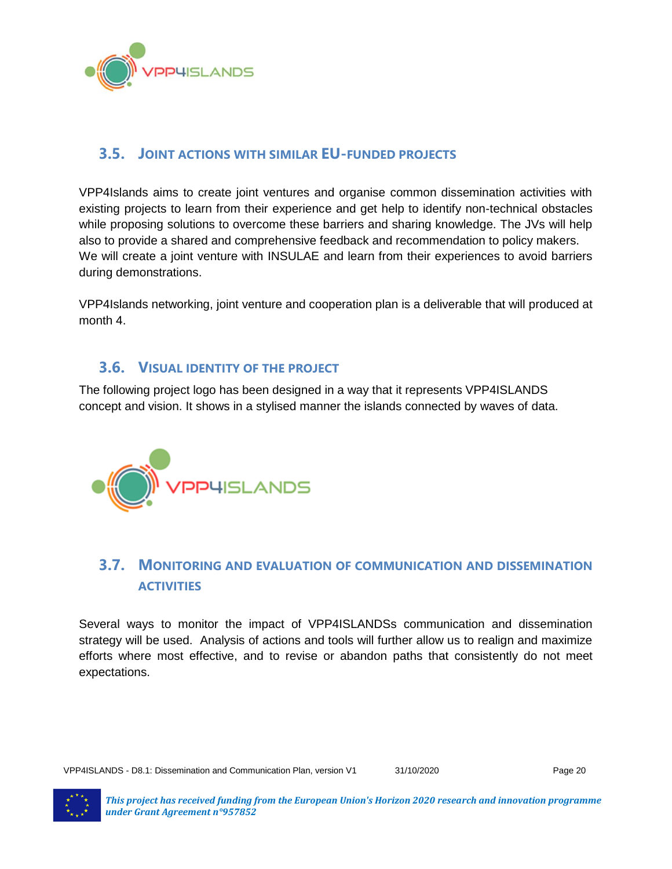

## <span id="page-19-0"></span>**3.5. JOINT ACTIONS WITH SIMILAR EU-FUNDED PROJECTS**

VPP4Islands aims to create joint ventures and organise common dissemination activities with existing projects to learn from their experience and get help to identify non-technical obstacles while proposing solutions to overcome these barriers and sharing knowledge. The JVs will help also to provide a shared and comprehensive feedback and recommendation to policy makers. We will create a joint venture with INSULAE and learn from their experiences to avoid barriers during demonstrations.

VPP4Islands networking, joint venture and cooperation plan is a deliverable that will produced at month 4.

#### <span id="page-19-1"></span>**3.6. VISUAL IDENTITY OF THE PROJECT**

The following project logo has been designed in a way that it represents VPP4ISLANDS concept and vision. It shows in a stylised manner the islands connected by waves of data.



## <span id="page-19-2"></span>**3.7. MONITORING AND EVALUATION OF COMMUNICATION AND DISSEMINATION ACTIVITIES**

Several ways to monitor the impact of VPP4ISLANDSs communication and dissemination strategy will be used. Analysis of actions and tools will further allow us to realign and maximize efforts where most effective, and to revise or abandon paths that consistently do not meet expectations.